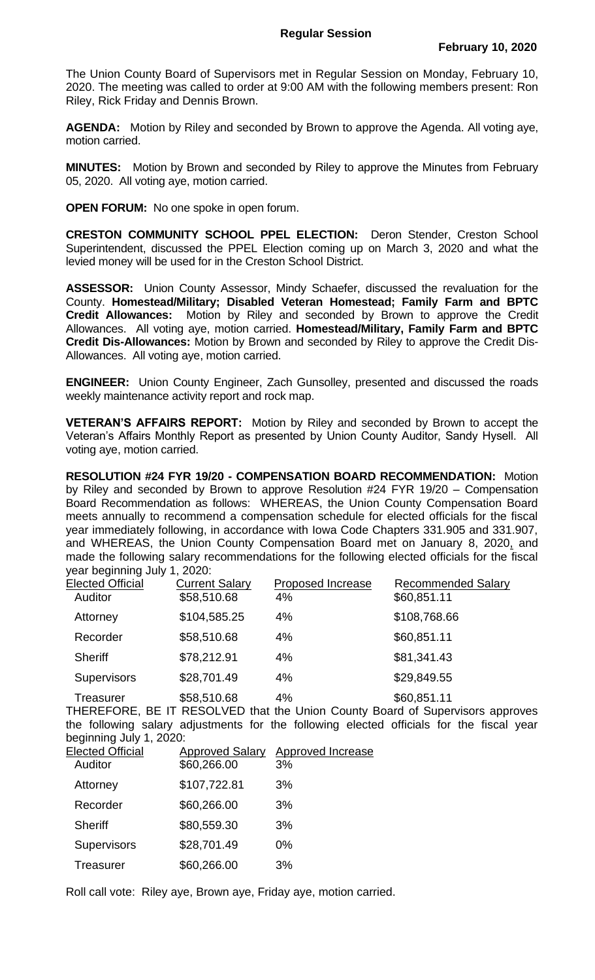The Union County Board of Supervisors met in Regular Session on Monday, February 10, 2020. The meeting was called to order at 9:00 AM with the following members present: Ron Riley, Rick Friday and Dennis Brown.

**AGENDA:** Motion by Riley and seconded by Brown to approve the Agenda. All voting aye, motion carried.

**MINUTES:** Motion by Brown and seconded by Riley to approve the Minutes from February 05, 2020. All voting aye, motion carried.

**OPEN FORUM:** No one spoke in open forum.

**CRESTON COMMUNITY SCHOOL PPEL ELECTION:** Deron Stender, Creston School Superintendent, discussed the PPEL Election coming up on March 3, 2020 and what the levied money will be used for in the Creston School District.

**ASSESSOR:** Union County Assessor, Mindy Schaefer, discussed the revaluation for the County. **Homestead/Military; Disabled Veteran Homestead; Family Farm and BPTC Credit Allowances:** Motion by Riley and seconded by Brown to approve the Credit Allowances. All voting aye, motion carried. **Homestead/Military, Family Farm and BPTC Credit Dis-Allowances:** Motion by Brown and seconded by Riley to approve the Credit Dis-Allowances. All voting aye, motion carried.

**ENGINEER:** Union County Engineer, Zach Gunsolley, presented and discussed the roads weekly maintenance activity report and rock map.

**VETERAN'S AFFAIRS REPORT:** Motion by Riley and seconded by Brown to accept the Veteran's Affairs Monthly Report as presented by Union County Auditor, Sandy Hysell. All voting aye, motion carried.

**RESOLUTION #24 FYR 19/20 - COMPENSATION BOARD RECOMMENDATION:** Motion by Riley and seconded by Brown to approve Resolution #24 FYR 19/20 – Compensation Board Recommendation as follows: WHEREAS, the Union County Compensation Board meets annually to recommend a compensation schedule for elected officials for the fiscal year immediately following, in accordance with Iowa Code Chapters 331.905 and 331.907, and WHEREAS, the Union County Compensation Board met on January 8, 2020, and made the following salary recommendations for the following elected officials for the fiscal year beginning July 1, 2020:

| <b>Elected Official</b>          | <b>Current Salary</b> | Proposed Increase           | <b>Recommended Salary</b> |
|----------------------------------|-----------------------|-----------------------------|---------------------------|
| Auditor                          | \$58,510.68           | 4%                          | \$60,851.11               |
| Attorney                         | \$104,585.25          | 4%                          | \$108,768.66              |
| Recorder                         | \$58,510.68           | 4%                          | \$60,851.11               |
| <b>Sheriff</b>                   | \$78,212.91           | 4%                          | \$81,341.43               |
| <b>Supervisors</b>               | \$28,701.49           | 4%                          | \$29,849.55               |
| Treasurer<br>- - - - - - - - - - | \$58,510.68           | 4%<br><b>PEOOUTRU U U A</b> | \$60,851.11               |

THEREFORE, BE IT RESOLVED that the Union County Board of Supervisors approves the following salary adjustments for the following elected officials for the fiscal year beginning July 1, 2020:

| <b>Elected Official</b> | <b>Approved Salary</b> | <b>Approved Increase</b> |
|-------------------------|------------------------|--------------------------|
| Auditor                 | \$60,266.00            | 3%                       |
| Attorney                | \$107,722.81           | 3%                       |
| Recorder                | \$60,266.00            | 3%                       |
| <b>Sheriff</b>          | \$80,559.30            | 3%                       |
| Supervisors             | \$28,701.49            | $0\%$                    |
| <b>Treasurer</b>        | \$60,266.00            | 3%                       |
|                         |                        |                          |

Roll call vote: Riley aye, Brown aye, Friday aye, motion carried.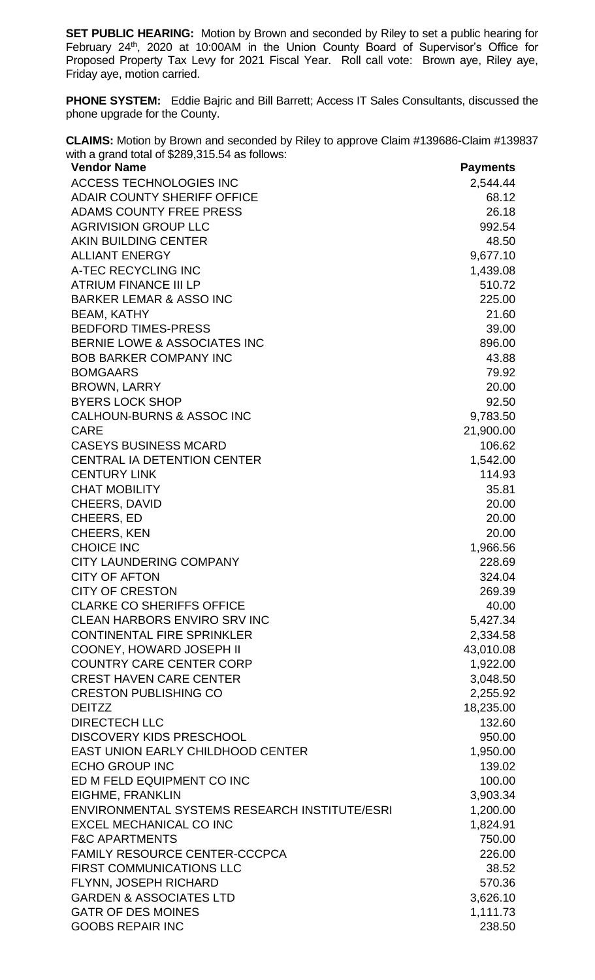**SET PUBLIC HEARING:** Motion by Brown and seconded by Riley to set a public hearing for February 24<sup>th</sup>, 2020 at 10:00AM in the Union County Board of Supervisor's Office for Proposed Property Tax Levy for 2021 Fiscal Year. Roll call vote: Brown aye, Riley aye, Friday aye, motion carried.

**PHONE SYSTEM:** Eddie Bajric and Bill Barrett; Access IT Sales Consultants, discussed the phone upgrade for the County.

**CLAIMS:** Motion by Brown and seconded by Riley to approve Claim #139686-Claim #139837 with a grand total of \$289,315.54 as follows:

| ACCESS TECHNOLOGIES INC<br>2,544.44<br><b>ADAIR COUNTY SHERIFF OFFICE</b><br>68.12<br><b>ADAMS COUNTY FREE PRESS</b><br>26.18<br><b>AGRIVISION GROUP LLC</b><br>992.54<br><b>AKIN BUILDING CENTER</b><br>48.50<br><b>ALLIANT ENERGY</b><br>9,677.10<br>A-TEC RECYCLING INC<br>1,439.08<br><b>ATRIUM FINANCE III LP</b><br>510.72<br><b>BARKER LEMAR &amp; ASSO INC</b><br>225.00<br><b>BEAM, KATHY</b><br>21.60<br><b>BEDFORD TIMES-PRESS</b><br>39.00<br><b>BERNIE LOWE &amp; ASSOCIATES INC</b><br>896.00<br><b>BOB BARKER COMPANY INC</b><br>43.88<br><b>BOMGAARS</b><br>79.92<br><b>BROWN, LARRY</b><br>20.00<br><b>BYERS LOCK SHOP</b><br>92.50<br><b>CALHOUN-BURNS &amp; ASSOC INC</b><br>9,783.50<br><b>CARE</b><br>21,900.00<br><b>CASEYS BUSINESS MCARD</b><br>106.62<br><b>CENTRAL IA DETENTION CENTER</b><br>1,542.00<br><b>CENTURY LINK</b><br>114.93<br><b>CHAT MOBILITY</b><br>35.81<br><b>CHEERS, DAVID</b><br>20.00<br><b>CHEERS, ED</b><br>20.00<br><b>CHEERS, KEN</b><br>20.00<br><b>CHOICE INC</b><br>1,966.56<br><b>CITY LAUNDERING COMPANY</b><br>228.69<br><b>CITY OF AFTON</b><br>324.04<br><b>CITY OF CRESTON</b><br>269.39<br><b>CLARKE CO SHERIFFS OFFICE</b><br>40.00<br><b>CLEAN HARBORS ENVIRO SRV INC</b><br>5,427.34<br><b>CONTINENTAL FIRE SPRINKLER</b><br>2,334.58<br><b>COONEY, HOWARD JOSEPH II</b><br>43,010.08<br><b>COUNTRY CARE CENTER CORP</b><br>1,922.00<br><b>CREST HAVEN CARE CENTER</b><br>3,048.50<br><b>CRESTON PUBLISHING CO</b><br>2,255.92<br>18,235.00<br><b>DEITZZ</b><br><b>DIRECTECH LLC</b><br>132.60<br><b>DISCOVERY KIDS PRESCHOOL</b><br>950.00<br><b>EAST UNION EARLY CHILDHOOD CENTER</b><br>1,950.00<br><b>ECHO GROUP INC</b><br>139.02<br>ED M FELD EQUIPMENT CO INC<br>100.00<br>3,903.34<br>EIGHME, FRANKLIN<br>ENVIRONMENTAL SYSTEMS RESEARCH INSTITUTE/ESRI<br>1,200.00<br><b>EXCEL MECHANICAL CO INC</b><br>1,824.91<br><b>F&amp;C APARTMENTS</b><br>750.00<br><b>FAMILY RESOURCE CENTER-CCCPCA</b><br>226.00<br><b>FIRST COMMUNICATIONS LLC</b><br>38.52<br>FLYNN, JOSEPH RICHARD<br>570.36<br><b>GARDEN &amp; ASSOCIATES LTD</b><br>3,626.10<br><b>GATR OF DES MOINES</b><br>1,111.73 | <b>Vendor Name</b>      | <b>Payments</b> |
|-------------------------------------------------------------------------------------------------------------------------------------------------------------------------------------------------------------------------------------------------------------------------------------------------------------------------------------------------------------------------------------------------------------------------------------------------------------------------------------------------------------------------------------------------------------------------------------------------------------------------------------------------------------------------------------------------------------------------------------------------------------------------------------------------------------------------------------------------------------------------------------------------------------------------------------------------------------------------------------------------------------------------------------------------------------------------------------------------------------------------------------------------------------------------------------------------------------------------------------------------------------------------------------------------------------------------------------------------------------------------------------------------------------------------------------------------------------------------------------------------------------------------------------------------------------------------------------------------------------------------------------------------------------------------------------------------------------------------------------------------------------------------------------------------------------------------------------------------------------------------------------------------------------------------------------------------------------------------------------------------------------------------------------------------------------------------------------------------------------------------------------------------------------|-------------------------|-----------------|
|                                                                                                                                                                                                                                                                                                                                                                                                                                                                                                                                                                                                                                                                                                                                                                                                                                                                                                                                                                                                                                                                                                                                                                                                                                                                                                                                                                                                                                                                                                                                                                                                                                                                                                                                                                                                                                                                                                                                                                                                                                                                                                                                                             |                         |                 |
|                                                                                                                                                                                                                                                                                                                                                                                                                                                                                                                                                                                                                                                                                                                                                                                                                                                                                                                                                                                                                                                                                                                                                                                                                                                                                                                                                                                                                                                                                                                                                                                                                                                                                                                                                                                                                                                                                                                                                                                                                                                                                                                                                             |                         |                 |
|                                                                                                                                                                                                                                                                                                                                                                                                                                                                                                                                                                                                                                                                                                                                                                                                                                                                                                                                                                                                                                                                                                                                                                                                                                                                                                                                                                                                                                                                                                                                                                                                                                                                                                                                                                                                                                                                                                                                                                                                                                                                                                                                                             |                         |                 |
|                                                                                                                                                                                                                                                                                                                                                                                                                                                                                                                                                                                                                                                                                                                                                                                                                                                                                                                                                                                                                                                                                                                                                                                                                                                                                                                                                                                                                                                                                                                                                                                                                                                                                                                                                                                                                                                                                                                                                                                                                                                                                                                                                             |                         |                 |
|                                                                                                                                                                                                                                                                                                                                                                                                                                                                                                                                                                                                                                                                                                                                                                                                                                                                                                                                                                                                                                                                                                                                                                                                                                                                                                                                                                                                                                                                                                                                                                                                                                                                                                                                                                                                                                                                                                                                                                                                                                                                                                                                                             |                         |                 |
|                                                                                                                                                                                                                                                                                                                                                                                                                                                                                                                                                                                                                                                                                                                                                                                                                                                                                                                                                                                                                                                                                                                                                                                                                                                                                                                                                                                                                                                                                                                                                                                                                                                                                                                                                                                                                                                                                                                                                                                                                                                                                                                                                             |                         |                 |
|                                                                                                                                                                                                                                                                                                                                                                                                                                                                                                                                                                                                                                                                                                                                                                                                                                                                                                                                                                                                                                                                                                                                                                                                                                                                                                                                                                                                                                                                                                                                                                                                                                                                                                                                                                                                                                                                                                                                                                                                                                                                                                                                                             |                         |                 |
|                                                                                                                                                                                                                                                                                                                                                                                                                                                                                                                                                                                                                                                                                                                                                                                                                                                                                                                                                                                                                                                                                                                                                                                                                                                                                                                                                                                                                                                                                                                                                                                                                                                                                                                                                                                                                                                                                                                                                                                                                                                                                                                                                             |                         |                 |
|                                                                                                                                                                                                                                                                                                                                                                                                                                                                                                                                                                                                                                                                                                                                                                                                                                                                                                                                                                                                                                                                                                                                                                                                                                                                                                                                                                                                                                                                                                                                                                                                                                                                                                                                                                                                                                                                                                                                                                                                                                                                                                                                                             |                         |                 |
|                                                                                                                                                                                                                                                                                                                                                                                                                                                                                                                                                                                                                                                                                                                                                                                                                                                                                                                                                                                                                                                                                                                                                                                                                                                                                                                                                                                                                                                                                                                                                                                                                                                                                                                                                                                                                                                                                                                                                                                                                                                                                                                                                             |                         |                 |
|                                                                                                                                                                                                                                                                                                                                                                                                                                                                                                                                                                                                                                                                                                                                                                                                                                                                                                                                                                                                                                                                                                                                                                                                                                                                                                                                                                                                                                                                                                                                                                                                                                                                                                                                                                                                                                                                                                                                                                                                                                                                                                                                                             |                         |                 |
|                                                                                                                                                                                                                                                                                                                                                                                                                                                                                                                                                                                                                                                                                                                                                                                                                                                                                                                                                                                                                                                                                                                                                                                                                                                                                                                                                                                                                                                                                                                                                                                                                                                                                                                                                                                                                                                                                                                                                                                                                                                                                                                                                             |                         |                 |
|                                                                                                                                                                                                                                                                                                                                                                                                                                                                                                                                                                                                                                                                                                                                                                                                                                                                                                                                                                                                                                                                                                                                                                                                                                                                                                                                                                                                                                                                                                                                                                                                                                                                                                                                                                                                                                                                                                                                                                                                                                                                                                                                                             |                         |                 |
|                                                                                                                                                                                                                                                                                                                                                                                                                                                                                                                                                                                                                                                                                                                                                                                                                                                                                                                                                                                                                                                                                                                                                                                                                                                                                                                                                                                                                                                                                                                                                                                                                                                                                                                                                                                                                                                                                                                                                                                                                                                                                                                                                             |                         |                 |
|                                                                                                                                                                                                                                                                                                                                                                                                                                                                                                                                                                                                                                                                                                                                                                                                                                                                                                                                                                                                                                                                                                                                                                                                                                                                                                                                                                                                                                                                                                                                                                                                                                                                                                                                                                                                                                                                                                                                                                                                                                                                                                                                                             |                         |                 |
|                                                                                                                                                                                                                                                                                                                                                                                                                                                                                                                                                                                                                                                                                                                                                                                                                                                                                                                                                                                                                                                                                                                                                                                                                                                                                                                                                                                                                                                                                                                                                                                                                                                                                                                                                                                                                                                                                                                                                                                                                                                                                                                                                             |                         |                 |
|                                                                                                                                                                                                                                                                                                                                                                                                                                                                                                                                                                                                                                                                                                                                                                                                                                                                                                                                                                                                                                                                                                                                                                                                                                                                                                                                                                                                                                                                                                                                                                                                                                                                                                                                                                                                                                                                                                                                                                                                                                                                                                                                                             |                         |                 |
|                                                                                                                                                                                                                                                                                                                                                                                                                                                                                                                                                                                                                                                                                                                                                                                                                                                                                                                                                                                                                                                                                                                                                                                                                                                                                                                                                                                                                                                                                                                                                                                                                                                                                                                                                                                                                                                                                                                                                                                                                                                                                                                                                             |                         |                 |
|                                                                                                                                                                                                                                                                                                                                                                                                                                                                                                                                                                                                                                                                                                                                                                                                                                                                                                                                                                                                                                                                                                                                                                                                                                                                                                                                                                                                                                                                                                                                                                                                                                                                                                                                                                                                                                                                                                                                                                                                                                                                                                                                                             |                         |                 |
|                                                                                                                                                                                                                                                                                                                                                                                                                                                                                                                                                                                                                                                                                                                                                                                                                                                                                                                                                                                                                                                                                                                                                                                                                                                                                                                                                                                                                                                                                                                                                                                                                                                                                                                                                                                                                                                                                                                                                                                                                                                                                                                                                             |                         |                 |
|                                                                                                                                                                                                                                                                                                                                                                                                                                                                                                                                                                                                                                                                                                                                                                                                                                                                                                                                                                                                                                                                                                                                                                                                                                                                                                                                                                                                                                                                                                                                                                                                                                                                                                                                                                                                                                                                                                                                                                                                                                                                                                                                                             |                         |                 |
|                                                                                                                                                                                                                                                                                                                                                                                                                                                                                                                                                                                                                                                                                                                                                                                                                                                                                                                                                                                                                                                                                                                                                                                                                                                                                                                                                                                                                                                                                                                                                                                                                                                                                                                                                                                                                                                                                                                                                                                                                                                                                                                                                             |                         |                 |
|                                                                                                                                                                                                                                                                                                                                                                                                                                                                                                                                                                                                                                                                                                                                                                                                                                                                                                                                                                                                                                                                                                                                                                                                                                                                                                                                                                                                                                                                                                                                                                                                                                                                                                                                                                                                                                                                                                                                                                                                                                                                                                                                                             |                         |                 |
|                                                                                                                                                                                                                                                                                                                                                                                                                                                                                                                                                                                                                                                                                                                                                                                                                                                                                                                                                                                                                                                                                                                                                                                                                                                                                                                                                                                                                                                                                                                                                                                                                                                                                                                                                                                                                                                                                                                                                                                                                                                                                                                                                             |                         |                 |
|                                                                                                                                                                                                                                                                                                                                                                                                                                                                                                                                                                                                                                                                                                                                                                                                                                                                                                                                                                                                                                                                                                                                                                                                                                                                                                                                                                                                                                                                                                                                                                                                                                                                                                                                                                                                                                                                                                                                                                                                                                                                                                                                                             |                         |                 |
|                                                                                                                                                                                                                                                                                                                                                                                                                                                                                                                                                                                                                                                                                                                                                                                                                                                                                                                                                                                                                                                                                                                                                                                                                                                                                                                                                                                                                                                                                                                                                                                                                                                                                                                                                                                                                                                                                                                                                                                                                                                                                                                                                             |                         |                 |
|                                                                                                                                                                                                                                                                                                                                                                                                                                                                                                                                                                                                                                                                                                                                                                                                                                                                                                                                                                                                                                                                                                                                                                                                                                                                                                                                                                                                                                                                                                                                                                                                                                                                                                                                                                                                                                                                                                                                                                                                                                                                                                                                                             |                         |                 |
|                                                                                                                                                                                                                                                                                                                                                                                                                                                                                                                                                                                                                                                                                                                                                                                                                                                                                                                                                                                                                                                                                                                                                                                                                                                                                                                                                                                                                                                                                                                                                                                                                                                                                                                                                                                                                                                                                                                                                                                                                                                                                                                                                             |                         |                 |
|                                                                                                                                                                                                                                                                                                                                                                                                                                                                                                                                                                                                                                                                                                                                                                                                                                                                                                                                                                                                                                                                                                                                                                                                                                                                                                                                                                                                                                                                                                                                                                                                                                                                                                                                                                                                                                                                                                                                                                                                                                                                                                                                                             |                         |                 |
|                                                                                                                                                                                                                                                                                                                                                                                                                                                                                                                                                                                                                                                                                                                                                                                                                                                                                                                                                                                                                                                                                                                                                                                                                                                                                                                                                                                                                                                                                                                                                                                                                                                                                                                                                                                                                                                                                                                                                                                                                                                                                                                                                             |                         |                 |
|                                                                                                                                                                                                                                                                                                                                                                                                                                                                                                                                                                                                                                                                                                                                                                                                                                                                                                                                                                                                                                                                                                                                                                                                                                                                                                                                                                                                                                                                                                                                                                                                                                                                                                                                                                                                                                                                                                                                                                                                                                                                                                                                                             |                         |                 |
|                                                                                                                                                                                                                                                                                                                                                                                                                                                                                                                                                                                                                                                                                                                                                                                                                                                                                                                                                                                                                                                                                                                                                                                                                                                                                                                                                                                                                                                                                                                                                                                                                                                                                                                                                                                                                                                                                                                                                                                                                                                                                                                                                             |                         |                 |
|                                                                                                                                                                                                                                                                                                                                                                                                                                                                                                                                                                                                                                                                                                                                                                                                                                                                                                                                                                                                                                                                                                                                                                                                                                                                                                                                                                                                                                                                                                                                                                                                                                                                                                                                                                                                                                                                                                                                                                                                                                                                                                                                                             |                         |                 |
|                                                                                                                                                                                                                                                                                                                                                                                                                                                                                                                                                                                                                                                                                                                                                                                                                                                                                                                                                                                                                                                                                                                                                                                                                                                                                                                                                                                                                                                                                                                                                                                                                                                                                                                                                                                                                                                                                                                                                                                                                                                                                                                                                             |                         |                 |
|                                                                                                                                                                                                                                                                                                                                                                                                                                                                                                                                                                                                                                                                                                                                                                                                                                                                                                                                                                                                                                                                                                                                                                                                                                                                                                                                                                                                                                                                                                                                                                                                                                                                                                                                                                                                                                                                                                                                                                                                                                                                                                                                                             |                         |                 |
|                                                                                                                                                                                                                                                                                                                                                                                                                                                                                                                                                                                                                                                                                                                                                                                                                                                                                                                                                                                                                                                                                                                                                                                                                                                                                                                                                                                                                                                                                                                                                                                                                                                                                                                                                                                                                                                                                                                                                                                                                                                                                                                                                             |                         |                 |
|                                                                                                                                                                                                                                                                                                                                                                                                                                                                                                                                                                                                                                                                                                                                                                                                                                                                                                                                                                                                                                                                                                                                                                                                                                                                                                                                                                                                                                                                                                                                                                                                                                                                                                                                                                                                                                                                                                                                                                                                                                                                                                                                                             |                         |                 |
|                                                                                                                                                                                                                                                                                                                                                                                                                                                                                                                                                                                                                                                                                                                                                                                                                                                                                                                                                                                                                                                                                                                                                                                                                                                                                                                                                                                                                                                                                                                                                                                                                                                                                                                                                                                                                                                                                                                                                                                                                                                                                                                                                             |                         |                 |
|                                                                                                                                                                                                                                                                                                                                                                                                                                                                                                                                                                                                                                                                                                                                                                                                                                                                                                                                                                                                                                                                                                                                                                                                                                                                                                                                                                                                                                                                                                                                                                                                                                                                                                                                                                                                                                                                                                                                                                                                                                                                                                                                                             |                         |                 |
|                                                                                                                                                                                                                                                                                                                                                                                                                                                                                                                                                                                                                                                                                                                                                                                                                                                                                                                                                                                                                                                                                                                                                                                                                                                                                                                                                                                                                                                                                                                                                                                                                                                                                                                                                                                                                                                                                                                                                                                                                                                                                                                                                             |                         |                 |
|                                                                                                                                                                                                                                                                                                                                                                                                                                                                                                                                                                                                                                                                                                                                                                                                                                                                                                                                                                                                                                                                                                                                                                                                                                                                                                                                                                                                                                                                                                                                                                                                                                                                                                                                                                                                                                                                                                                                                                                                                                                                                                                                                             |                         |                 |
|                                                                                                                                                                                                                                                                                                                                                                                                                                                                                                                                                                                                                                                                                                                                                                                                                                                                                                                                                                                                                                                                                                                                                                                                                                                                                                                                                                                                                                                                                                                                                                                                                                                                                                                                                                                                                                                                                                                                                                                                                                                                                                                                                             |                         |                 |
|                                                                                                                                                                                                                                                                                                                                                                                                                                                                                                                                                                                                                                                                                                                                                                                                                                                                                                                                                                                                                                                                                                                                                                                                                                                                                                                                                                                                                                                                                                                                                                                                                                                                                                                                                                                                                                                                                                                                                                                                                                                                                                                                                             |                         |                 |
|                                                                                                                                                                                                                                                                                                                                                                                                                                                                                                                                                                                                                                                                                                                                                                                                                                                                                                                                                                                                                                                                                                                                                                                                                                                                                                                                                                                                                                                                                                                                                                                                                                                                                                                                                                                                                                                                                                                                                                                                                                                                                                                                                             |                         |                 |
|                                                                                                                                                                                                                                                                                                                                                                                                                                                                                                                                                                                                                                                                                                                                                                                                                                                                                                                                                                                                                                                                                                                                                                                                                                                                                                                                                                                                                                                                                                                                                                                                                                                                                                                                                                                                                                                                                                                                                                                                                                                                                                                                                             |                         |                 |
|                                                                                                                                                                                                                                                                                                                                                                                                                                                                                                                                                                                                                                                                                                                                                                                                                                                                                                                                                                                                                                                                                                                                                                                                                                                                                                                                                                                                                                                                                                                                                                                                                                                                                                                                                                                                                                                                                                                                                                                                                                                                                                                                                             |                         |                 |
|                                                                                                                                                                                                                                                                                                                                                                                                                                                                                                                                                                                                                                                                                                                                                                                                                                                                                                                                                                                                                                                                                                                                                                                                                                                                                                                                                                                                                                                                                                                                                                                                                                                                                                                                                                                                                                                                                                                                                                                                                                                                                                                                                             |                         |                 |
|                                                                                                                                                                                                                                                                                                                                                                                                                                                                                                                                                                                                                                                                                                                                                                                                                                                                                                                                                                                                                                                                                                                                                                                                                                                                                                                                                                                                                                                                                                                                                                                                                                                                                                                                                                                                                                                                                                                                                                                                                                                                                                                                                             |                         |                 |
|                                                                                                                                                                                                                                                                                                                                                                                                                                                                                                                                                                                                                                                                                                                                                                                                                                                                                                                                                                                                                                                                                                                                                                                                                                                                                                                                                                                                                                                                                                                                                                                                                                                                                                                                                                                                                                                                                                                                                                                                                                                                                                                                                             |                         |                 |
|                                                                                                                                                                                                                                                                                                                                                                                                                                                                                                                                                                                                                                                                                                                                                                                                                                                                                                                                                                                                                                                                                                                                                                                                                                                                                                                                                                                                                                                                                                                                                                                                                                                                                                                                                                                                                                                                                                                                                                                                                                                                                                                                                             |                         |                 |
|                                                                                                                                                                                                                                                                                                                                                                                                                                                                                                                                                                                                                                                                                                                                                                                                                                                                                                                                                                                                                                                                                                                                                                                                                                                                                                                                                                                                                                                                                                                                                                                                                                                                                                                                                                                                                                                                                                                                                                                                                                                                                                                                                             |                         |                 |
|                                                                                                                                                                                                                                                                                                                                                                                                                                                                                                                                                                                                                                                                                                                                                                                                                                                                                                                                                                                                                                                                                                                                                                                                                                                                                                                                                                                                                                                                                                                                                                                                                                                                                                                                                                                                                                                                                                                                                                                                                                                                                                                                                             | <b>GOOBS REPAIR INC</b> | 238.50          |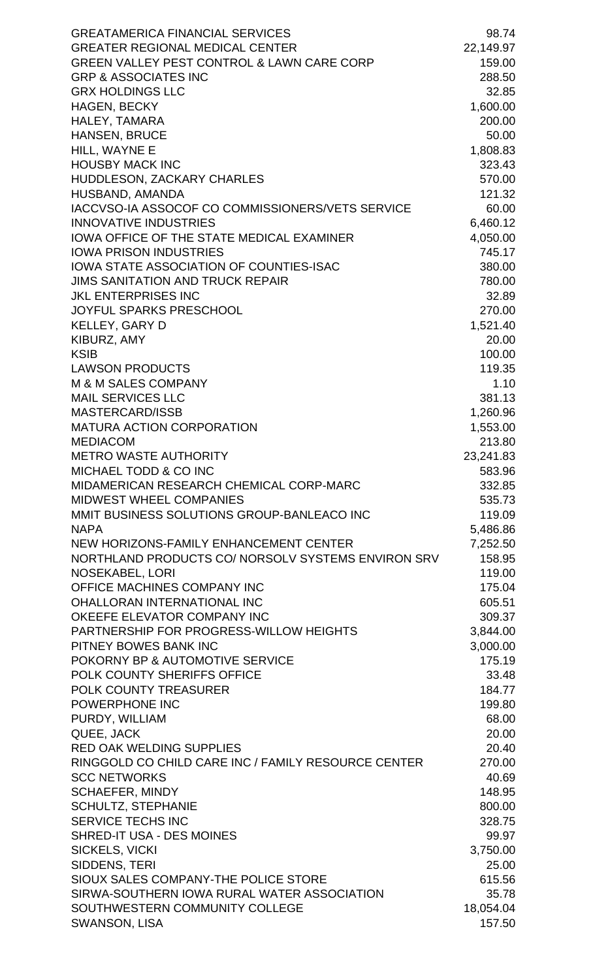| <b>GREATAMERICA FINANCIAL SERVICES</b>                | 98.74             |
|-------------------------------------------------------|-------------------|
| <b>GREATER REGIONAL MEDICAL CENTER</b>                | 22,149.97         |
| <b>GREEN VALLEY PEST CONTROL &amp; LAWN CARE CORP</b> | 159.00            |
| <b>GRP &amp; ASSOCIATES INC</b>                       | 288.50            |
| <b>GRX HOLDINGS LLC</b>                               | 32.85             |
| <b>HAGEN, BECKY</b>                                   | 1,600.00          |
| HALEY, TAMARA                                         | 200.00            |
| <b>HANSEN, BRUCE</b>                                  | 50.00             |
| HILL, WAYNE E                                         | 1,808.83          |
| <b>HOUSBY MACK INC</b>                                | 323.43            |
| HUDDLESON, ZACKARY CHARLES                            | 570.00            |
| HUSBAND, AMANDA                                       | 121.32            |
| IACCVSO-IA ASSOCOF CO COMMISSIONERS/VETS SERVICE      | 60.00             |
| <b>INNOVATIVE INDUSTRIES</b>                          | 6,460.12          |
| <b>IOWA OFFICE OF THE STATE MEDICAL EXAMINER</b>      | 4,050.00          |
| <b>IOWA PRISON INDUSTRIES</b>                         | 745.17            |
| <b>IOWA STATE ASSOCIATION OF COUNTIES-ISAC</b>        | 380.00            |
| <b>JIMS SANITATION AND TRUCK REPAIR</b>               | 780.00            |
| <b>JKL ENTERPRISES INC</b>                            | 32.89             |
| <b>JOYFUL SPARKS PRESCHOOL</b>                        | 270.00            |
| KELLEY, GARY D                                        | 1,521.40          |
| KIBURZ, AMY                                           | 20.00             |
| <b>KSIB</b>                                           | 100.00            |
| <b>LAWSON PRODUCTS</b><br>M & M SALES COMPANY         | 119.35<br>1.10    |
| <b>MAIL SERVICES LLC</b>                              | 381.13            |
| <b>MASTERCARD/ISSB</b>                                | 1,260.96          |
| <b>MATURA ACTION CORPORATION</b>                      | 1,553.00          |
| <b>MEDIACOM</b>                                       | 213.80            |
| <b>METRO WASTE AUTHORITY</b>                          | 23,241.83         |
| MICHAEL TODD & CO INC                                 | 583.96            |
| MIDAMERICAN RESEARCH CHEMICAL CORP-MARC               | 332.85            |
| <b>MIDWEST WHEEL COMPANIES</b>                        | 535.73            |
| MMIT BUSINESS SOLUTIONS GROUP-BANLEACO INC            | 119.09            |
| <b>NAPA</b>                                           | 5,486.86          |
| NEW HORIZONS-FAMILY ENHANCEMENT CENTER                | 7,252.50          |
| NORTHLAND PRODUCTS CO/ NORSOLV SYSTEMS ENVIRON SRV    | 158.95            |
| <b>NOSEKABEL, LORI</b>                                | 119.00            |
| OFFICE MACHINES COMPANY INC                           | 175.04            |
| <b>OHALLORAN INTERNATIONAL INC</b>                    | 605.51            |
| OKEEFE ELEVATOR COMPANY INC                           | 309.37            |
| PARTNERSHIP FOR PROGRESS-WILLOW HEIGHTS               | 3,844.00          |
| PITNEY BOWES BANK INC                                 | 3,000.00          |
| POKORNY BP & AUTOMOTIVE SERVICE                       | 175.19            |
| POLK COUNTY SHERIFFS OFFICE                           | 33.48             |
| <b>POLK COUNTY TREASURER</b>                          | 184.77            |
| POWERPHONE INC                                        | 199.80            |
| PURDY, WILLIAM                                        | 68.00             |
| QUEE, JACK                                            | 20.00             |
| <b>RED OAK WELDING SUPPLIES</b>                       | 20.40             |
| RINGGOLD CO CHILD CARE INC / FAMILY RESOURCE CENTER   | 270.00            |
| <b>SCC NETWORKS</b>                                   | 40.69             |
| <b>SCHAEFER, MINDY</b>                                | 148.95            |
| <b>SCHULTZ, STEPHANIE</b>                             | 800.00            |
| <b>SERVICE TECHS INC</b>                              | 328.75            |
| <b>SHRED-IT USA - DES MOINES</b><br>SICKELS, VICKI    | 99.97<br>3,750.00 |
| SIDDENS, TERI                                         | 25.00             |
| SIOUX SALES COMPANY-THE POLICE STORE                  | 615.56            |
| SIRWA-SOUTHERN IOWA RURAL WATER ASSOCIATION           | 35.78             |
| SOUTHWESTERN COMMUNITY COLLEGE                        | 18,054.04         |
| SWANSON, LISA                                         | 157.50            |
|                                                       |                   |